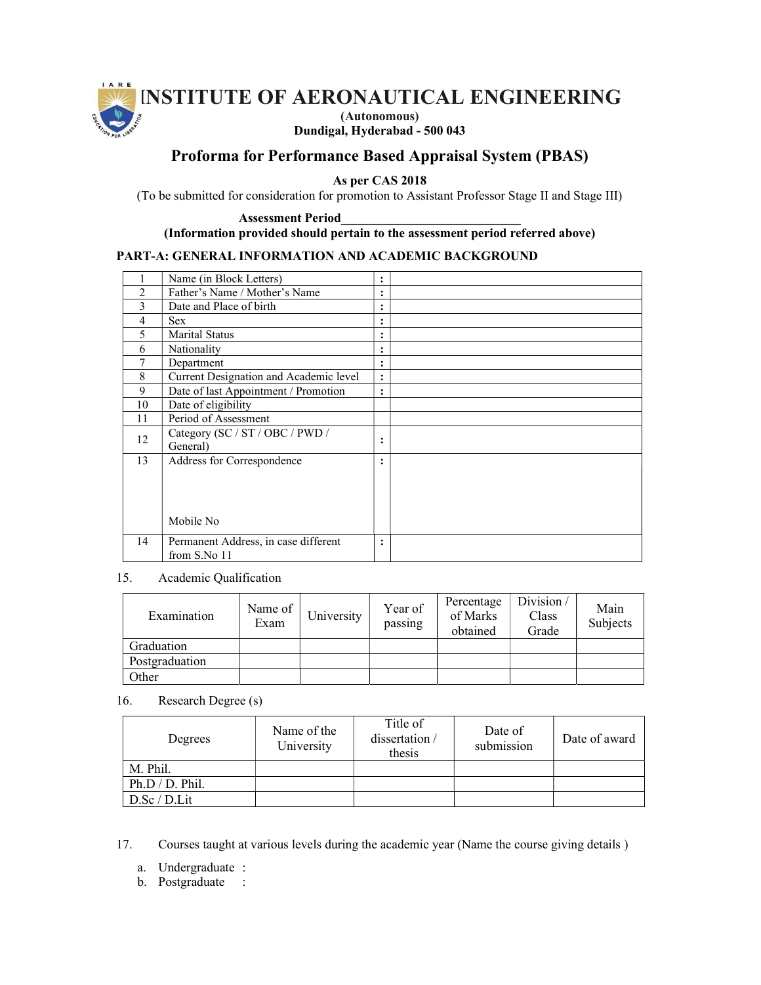

Dundigal, Hyderabad - 500 043

# Proforma for Performance Based Appraisal System (PBAS)

As per CAS 2018

(To be submitted for consideration for promotion to Assistant Professor Stage II and Stage III)

Assessment Period\_\_\_\_\_\_\_\_\_\_\_\_\_\_\_\_\_\_\_\_\_\_\_\_\_\_\_\_ (Information provided should pertain to the assessment period referred above)

### PART-A: GENERAL INFORMATION AND ACADEMIC BACKGROUND

|    | Name (in Block Letters)                              | ٠<br>٠         |  |
|----|------------------------------------------------------|----------------|--|
| 2  | Father's Name / Mother's Name                        | ٠              |  |
| 3  | Date and Place of birth                              | ٠<br>٠         |  |
| 4  | <b>Sex</b>                                           | ٠              |  |
| 5  | <b>Marital Status</b>                                | ٠<br>٠         |  |
| 6  | Nationality                                          | ٠<br>٠         |  |
| 7  | Department                                           | ٠<br>٠         |  |
| 8  | Current Designation and Academic level               | $\ddot{\cdot}$ |  |
| 9  | Date of last Appointment / Promotion                 | ٠              |  |
| 10 | Date of eligibility                                  |                |  |
| 11 | Period of Assessment                                 |                |  |
| 12 | Category (SC / ST / OBC / PWD /<br>General)          | ٠<br>٠         |  |
| 13 | Address for Correspondence<br>Mobile No              | ٠              |  |
| 14 | Permanent Address, in case different<br>from S.No 11 | ٠              |  |

### 15. Academic Qualification

| Examination    | Name of<br>Exam | University | Year of<br>passing | Percentage<br>of Marks<br>obtained | Division/<br>Class<br>Grade | Main<br>Subjects |
|----------------|-----------------|------------|--------------------|------------------------------------|-----------------------------|------------------|
| Graduation     |                 |            |                    |                                    |                             |                  |
| Postgraduation |                 |            |                    |                                    |                             |                  |
| Other          |                 |            |                    |                                    |                             |                  |

# 16. Research Degree (s)

| Degrees         | Name of the<br>University | Title of<br>dissertation /<br>thesis | Date of<br>submission | Date of award |
|-----------------|---------------------------|--------------------------------------|-----------------------|---------------|
| M. Phil.        |                           |                                      |                       |               |
| Ph.D / D. Phil. |                           |                                      |                       |               |
| D.Sc/D.Lit      |                           |                                      |                       |               |

17. Courses taught at various levels during the academic year (Name the course giving details )

a. Undergraduate :

b. Postgraduate :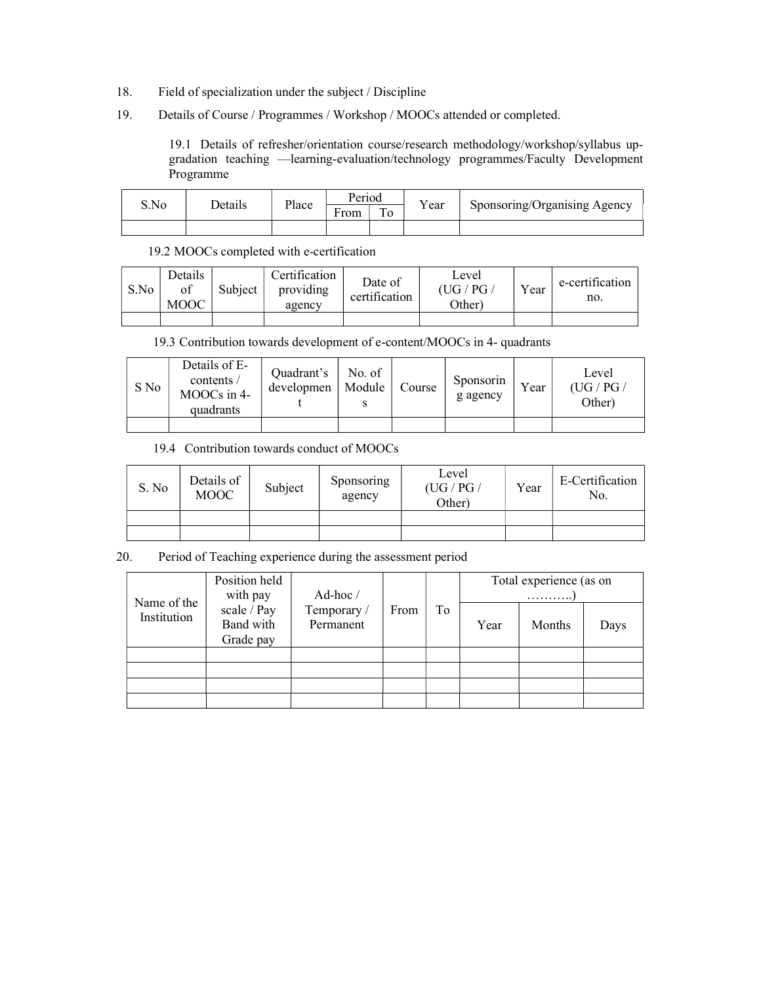- 18. Field of specialization under the subject / Discipline
- 19. Details of Course / Programmes / Workshop / MOOCs attended or completed.

19.1 Details of refresher/orientation course/research methodology/workshop/syllabus upgradation teaching —learning-evaluation/technology programmes/Faculty Development Programme

| S.No | Details | Place | Period    |                   |       |                              |
|------|---------|-------|-----------|-------------------|-------|------------------------------|
|      |         |       | -<br>From | <b>TILL</b><br>10 | r ear | Sponsoring/Organising Agency |
|      |         |       |           |                   |       |                              |

### 19.2 MOOCs completed with e-certification

| S.No | Details<br>of<br><b>MOOC</b> | Subject | Certification<br>providing<br>agency | Date of<br>certification | Level<br>(UG/PG)<br>(Ther | Year | e-certification<br>no. |
|------|------------------------------|---------|--------------------------------------|--------------------------|---------------------------|------|------------------------|
|      |                              |         |                                      |                          |                           |      |                        |

# 19.3 Contribution towards development of e-content/MOOCs in 4- quadrants

| S No | Details of E-<br>contents /<br>MOOCs in 4-<br>quadrants | Quadrant's<br>developmen | No. of<br>Module | Course | Sponsorin<br>g agency | Year | Level<br>(UG/PG/<br>Other) |
|------|---------------------------------------------------------|--------------------------|------------------|--------|-----------------------|------|----------------------------|
|      |                                                         |                          |                  |        |                       |      |                            |

# 19.4 Contribution towards conduct of MOOCs

| S. No | Details of<br><b>MOOC</b> | Subject | Sponsoring<br>agency | Level<br>(UG / PG /<br>Other) | Year | E-Certification<br>No. |
|-------|---------------------------|---------|----------------------|-------------------------------|------|------------------------|
|       |                           |         |                      |                               |      |                        |
|       |                           |         |                      |                               |      |                        |

## 20. Period of Teaching experience during the assessment period

| Name of the | Position held<br>with pay             | Ad-hoc/                  |      | To | Total experience (as on<br>. |               |      |
|-------------|---------------------------------------|--------------------------|------|----|------------------------------|---------------|------|
| Institution | scale / Pay<br>Band with<br>Grade pay | Temporary /<br>Permanent | From |    | Year                         | <b>Months</b> | Days |
|             |                                       |                          |      |    |                              |               |      |
|             |                                       |                          |      |    |                              |               |      |
|             |                                       |                          |      |    |                              |               |      |
|             |                                       |                          |      |    |                              |               |      |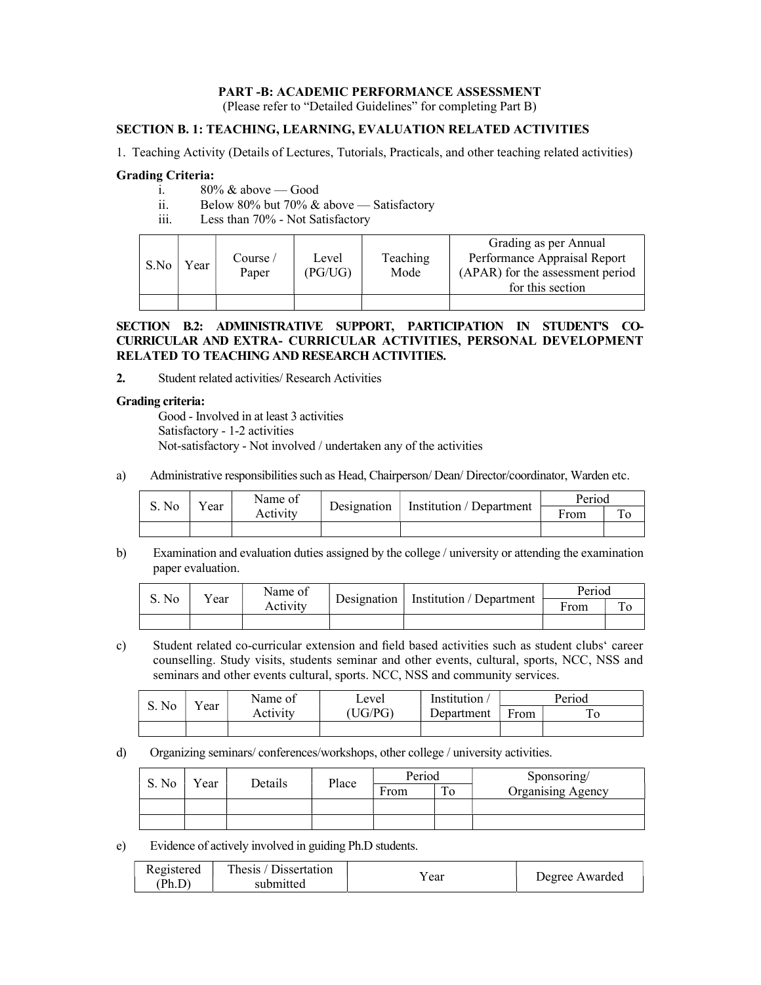### PART -B: ACADEMIC PERFORMANCE ASSESSMENT

(Please refer to "Detailed Guidelines" for completing Part B)

# SECTION B. 1: TEACHING, LEARNING, EVALUATION RELATED ACTIVITIES

1. Teaching Activity (Details of Lectures, Tutorials, Practicals, and other teaching related activities)

### Grading Criteria:

- i.  $80\%$  & above Good
- ii. Below 80% but 70% & above Satisfactory
- iii. Less than 70% Not Satisfactory

| S.No | Year | Course/<br>Paper | Level<br>(PG/UG) | Teaching<br>Mode | Grading as per Annual<br>Performance Appraisal Report<br>(APAR) for the assessment period<br>for this section |
|------|------|------------------|------------------|------------------|---------------------------------------------------------------------------------------------------------------|
|      |      |                  |                  |                  |                                                                                                               |

### SECTION B.2: ADMINISTRATIVE SUPPORT, PARTICIPATION IN STUDENT'S CO-CURRICULAR AND EXTRA- CURRICULAR ACTIVITIES, PERSONAL DEVELOPMENT RELATED TO TEACHING AND RESEARCH ACTIVITIES.

2. Student related activities/ Research Activities

#### Grading criteria:

Good - Involved in at least 3 activities Satisfactory - 1-2 activities Not-satisfactory - Not involved / undertaken any of the activities

a) Administrative responsibilities such as Head, Chairperson/ Dean/ Director/coordinator, Warden etc.

| S. No |  | Name of<br>ear<br>Activity | Designation | Institution / Department | Period |  |
|-------|--|----------------------------|-------------|--------------------------|--------|--|
|       |  |                            |             |                          | From   |  |
|       |  |                            |             |                          |        |  |

b) Examination and evaluation duties assigned by the college / university or attending the examination paper evaluation.

| S. No |              | Name of  | Designation   Institution / Department | Period |  |
|-------|--------------|----------|----------------------------------------|--------|--|
|       | $\alpha$ ear | Activity |                                        | From   |  |
|       |              |          |                                        |        |  |

c) Student related co-curricular extension and field based activities such as student clubs' career counselling. Study visits, students seminar and other events, cultural, sports, NCC, NSS and seminars and other events cultural, sports. NCC, NSS and community services.

| S. No |     | Name of  | Level  | Institution | Period |  |
|-------|-----|----------|--------|-------------|--------|--|
|       | ear | Activity | UG/PG) | Department  | From   |  |
|       |     |          |        |             |        |  |

d) Organizing seminars/ conferences/workshops, other college / university activities.

| S. No | Year | Details | Place | Period |    | Sponsoring/              |  |
|-------|------|---------|-------|--------|----|--------------------------|--|
|       |      |         |       | From   | 10 | <b>Organising Agency</b> |  |
|       |      |         |       |        |    |                          |  |
|       |      |         |       |        |    |                          |  |

e) Evidence of actively involved in guiding Ph.D students.

| Registered | Thesis / Dissertation |       | Degree Awarded |
|------------|-----------------------|-------|----------------|
| (Ph.D)     | submitted             | ′ ear |                |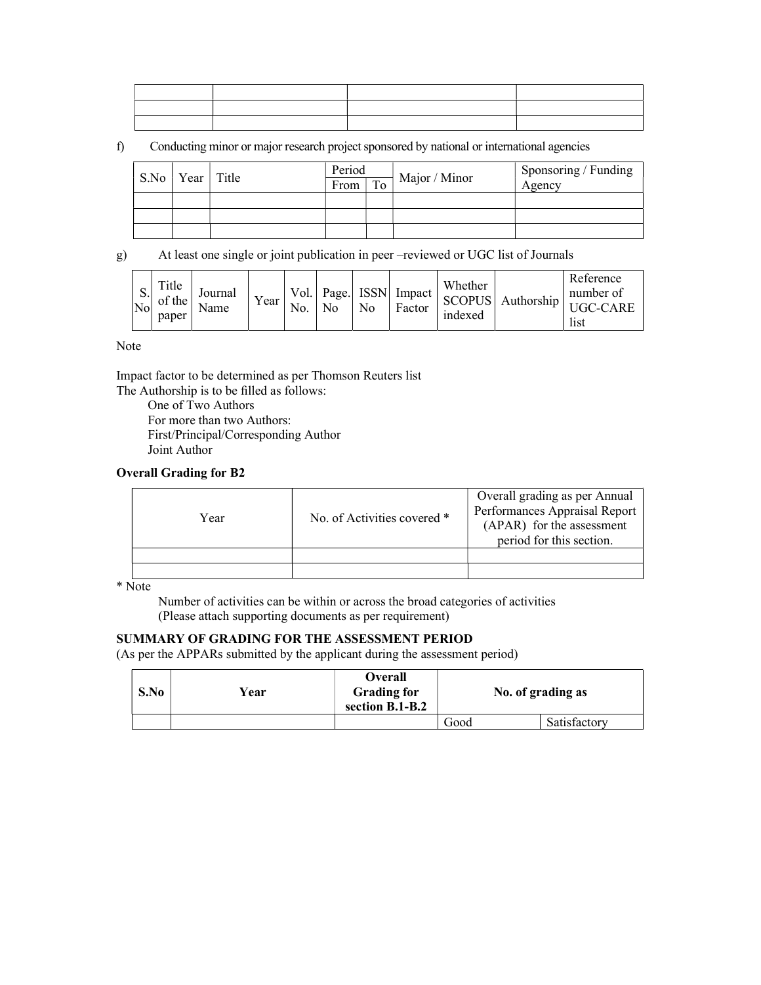f) Conducting minor or major research project sponsored by national or international agencies

| S.No   Year   Title |  | Period |    |               | Sponsoring / Funding |
|---------------------|--|--------|----|---------------|----------------------|
|                     |  | From   | To | Major / Minor | Agency               |
|                     |  |        |    |               |                      |
|                     |  |        |    |               |                      |
|                     |  |        |    |               |                      |

g) At least one single or joint publication in peer –reviewed or UGC list of Journals

| υ.<br>- No | Title<br>of the<br>paper | Journal<br>Name | Year | Vol.<br>No. | No | N <sub>0</sub> | Page. ISSN Impact  <br>Factor | Whether<br>indexed | SCOPUS Authorship | Reference<br>number of<br><b>HGC-CARE</b><br>list |
|------------|--------------------------|-----------------|------|-------------|----|----------------|-------------------------------|--------------------|-------------------|---------------------------------------------------|
|------------|--------------------------|-----------------|------|-------------|----|----------------|-------------------------------|--------------------|-------------------|---------------------------------------------------|

Note

Impact factor to be determined as per Thomson Reuters list

The Authorship is to be filled as follows:

One of Two Authors For more than two Authors: First/Principal/Corresponding Author Joint Author

### Overall Grading for B2

| Year | No. of Activities covered * | Overall grading as per Annual<br>Performances Appraisal Report<br>(APAR) for the assessment<br>period for this section. |
|------|-----------------------------|-------------------------------------------------------------------------------------------------------------------------|
|      |                             |                                                                                                                         |
|      |                             |                                                                                                                         |

\* Note

Number of activities can be within or across the broad categories of activities (Please attach supporting documents as per requirement)

# SUMMARY OF GRADING FOR THE ASSESSMENT PERIOD

(As per the APPARs submitted by the applicant during the assessment period)

| S.No | √ear | Overall<br><b>Grading for</b><br>section B.1-B.2 |      | No. of grading as |
|------|------|--------------------------------------------------|------|-------------------|
|      |      |                                                  | Good | Satisfactory      |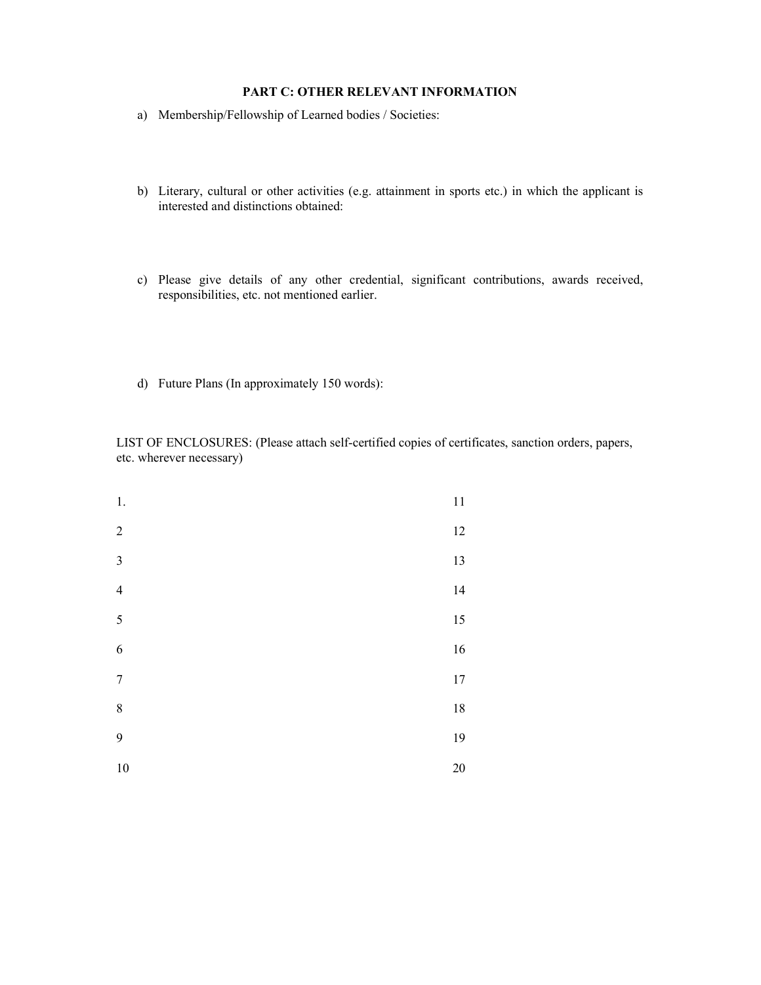# PART C: OTHER RELEVANT INFORMATION

- a) Membership/Fellowship of Learned bodies / Societies:
- b) Literary, cultural or other activities (e.g. attainment in sports etc.) in which the applicant is interested and distinctions obtained:
- c) Please give details of any other credential, significant contributions, awards received, responsibilities, etc. not mentioned earlier.
- d) Future Plans (In approximately 150 words):

LIST OF ENCLOSURES: (Please attach self-certified copies of certificates, sanction orders, papers, etc. wherever necessary)

| 1.                      | $1\,1$ |
|-------------------------|--------|
| $\overline{c}$          | $12\,$ |
| $\overline{\mathbf{3}}$ | 13     |
| $\overline{4}$          | 14     |
| 5                       | 15     |
| 6                       | $16\,$ |
| $\overline{7}$          | $17\,$ |
| 8                       | $18\,$ |
| 9                       | 19     |
| 10                      | 20     |